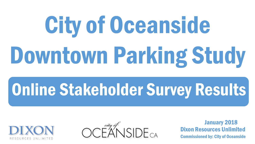# City of Oceanside Downtown Parking Study

# Online Stakeholder Survey Results





Commissioned by: City of Oceanside Dixon Resources Unlimited January 2018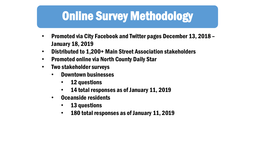# Online Survey Methodology

- Promoted via City Facebook and Twitter pages December 13, 2018 January 18, 2019
- Distributed to 1,200+ Main Street Association stakeholders
- Promoted online via North County Daily Star
- Two stakeholder surveys
	- Downtown businesses
		- 12 questions
		- 14 total responses as of January 11, 2019
	- Oceanside residents
		- 13 questions
		- 180 total responses as of January 11, 2019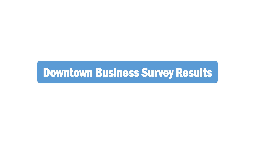# Downtown Business Survey Results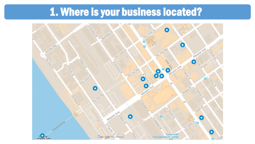# 1. Where is your business located?

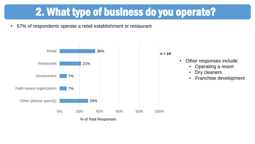# 2. What type of business do you operate?

• 57% of respondents operate a retail establishment or restaurant

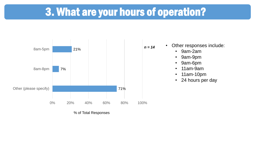### 3. What are your hours of operation?



% of Total Responses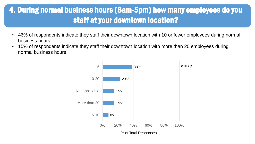#### 4. During normal business hours (8am-5pm) how many employees do you staff at your downtown location?

- 46% of respondents indicate they staff their downtown location with 10 or fewer employees during normal business hours
- 15% of respondents indicate they staff their downtown location with more than 20 employees during normal business hours

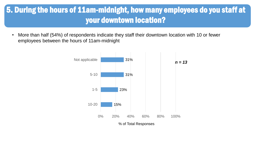#### 5. During the hours of 11am-midnight, how many employees do you staff at your downtown location?

• More than half (54%) of respondents indicate they staff their downtown location with 10 or fewer employees between the hours of 11am-midnight

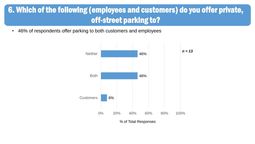#### 6. Which of the following (employees and customers) do you offer private, off-street parking to?

• 46% of respondents offer parking to both customers and employees

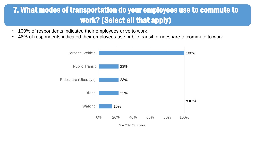#### 7. What modes of transportation do your employees use to commute to work? (Select all that apply)

- 100% of respondents indicated their employees drive to work
- 46% of respondents indicated their employees use public transit or rideshare to commute to work

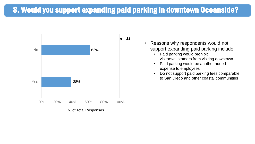#### 8. Would you support expanding paid parking in downtown Oceanside?



• Reasons why respondents would not support expanding paid parking include:

- Paid parking would prohibit visitors/customers from visiting downtown
- Paid parking would be another added expense to employees
- Do not support paid parking fees comparable to San Diego and other coastal communities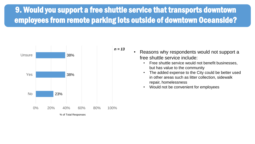#### 9. Would you support a free shuttle service that transports downtown employees from remote parking lots outside of downtown Oceanside?



| • Reasons why respondents would not support a |
|-----------------------------------------------|
| free shuttle service include:                 |

- Free shuttle service would not benefit businesses, but has value to the community
- The added expense to the City could be better used in other areas such as litter collection, sidewalk repair, homelessness
- Would not be convenient for employees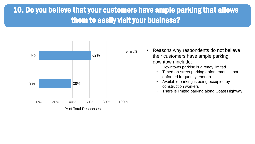#### 10. Do you believe that your customers have ample parking that allows them to easily visit your business?



- Reasons why respondents do not believe their customers have ample parking downtown include:
	- Downtown parking is already limited
	- Timed on-street parking enforcement is not enforced frequently enough
	- Available parking is being occupied by construction workers
	- There is limited parking along Coast Highway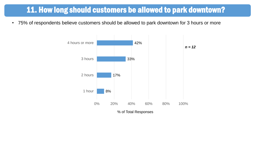#### 11. How long should customers be allowed to park downtown?

• 75% of respondents believe customers should be allowed to park downtown for 3 hours or more

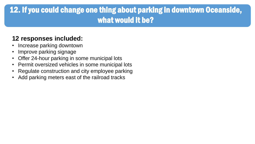#### 12. If you could change one thing about parking in downtown Oceanside, what would it be?

#### **12 responses included:**

- Increase parking downtown
- Improve parking signage
- Offer 24-hour parking in some municipal lots
- Permit oversized vehicles in some municipal lots
- Regulate construction and city employee parking
- Add parking meters east of the railroad tracks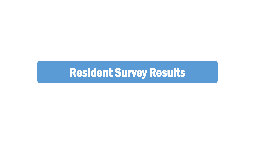# Resident Survey Results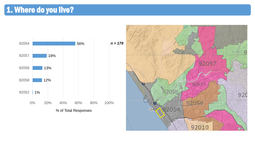#### 1. Where do you live?

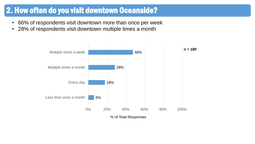#### 2. How often do you visit downtown Oceanside?

- 66% of respondents visit downtown more than once per week
- 28% of respondents visit downtown multiple times a month

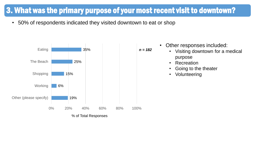#### 3. What was the primary purpose of your most recent visit to downtown?

• 50% of respondents indicated they visited downtown to eat or shop



| Other responses included: |                                   |  |
|---------------------------|-----------------------------------|--|
|                           | • Visiting downtown for a medical |  |
|                           | purpose                           |  |

• Other responses included:

- Recreation
- Going to the theater
- **Volunteering**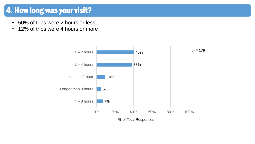#### 4. How long was your visit?

- 50% of trips were 2 hours or less
- 12% of trips were 4 hours or more

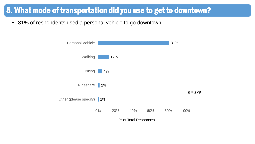#### 5. What mode of transportation did you use to get to downtown?

• 81% of respondents used a personal vehicle to go downtown



% of Total Responses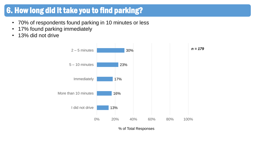#### 6. How long did it take you to find parking?

- 70% of respondents found parking in 10 minutes or less
- 17% found parking immediately
- 13% did not drive



% of Total Responses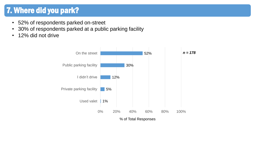#### 7. Where did you park?

- 52% of respondents parked on-street
- 30% of respondents parked at a public parking facility
- 12% did not drive

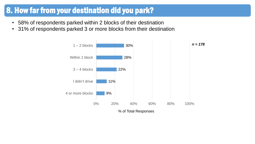#### 8. How far from your destination did you park?

- 58% of respondents parked within 2 blocks of their destination
- 31% of respondents parked 3 or more blocks from their destination

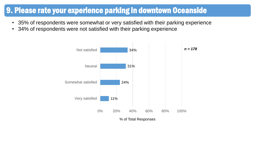#### 9. Please rate your experience parking in downtown Oceanside

- 35% of respondents were somewhat or very satisfied with their parking experience
- 34% of respondents were not satisfied with their parking experience

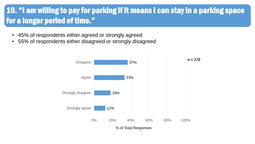#### 10. "I am willing to pay for parking if it means I can stay in a parking space for a longer period of time."

- 45% of respondents either agreed or strongly agreed
- 55% of respondents either disagreed or strongly disagreed

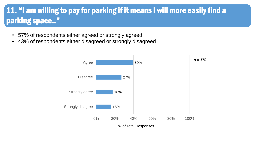#### 11. "I am willing to pay for parking if it means I will more easily find a parking space.."

- 57% of respondents either agreed or strongly agreed
- 43% of respondents either disagreed or strongly disagreed

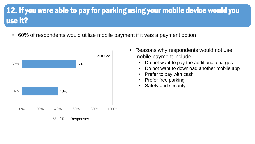#### 12. If you were able to pay for parking using your mobile device would you use it?

• 60% of respondents would utilize mobile payment if it was a payment option



% of Total Responses

- Reasons why respondents would not use mobile payment include:
	- Do not want to pay the additional charges
	- Do not want to download another mobile app
	- Prefer to pay with cash
	- Prefer free parking
	- Safety and security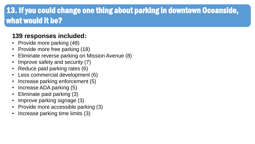#### 13. If you could change one thing about parking in downtown Oceanside, what would it be?

#### **139 responses included:**

- Provide more parking (48)
- Provide more free parking (18)
- Eliminate reverse parking on Mission Avenue (8)
- Improve safety and security (7)
- Reduce paid parking rates (6)
- Less commercial development (6)
- Increase parking enforcement (5)
- Increase ADA parking (5)
- Eliminate paid parking (3)
- Improve parking signage (3)
- Provide more accessible parking (3)
- Increase parking time limits (3)